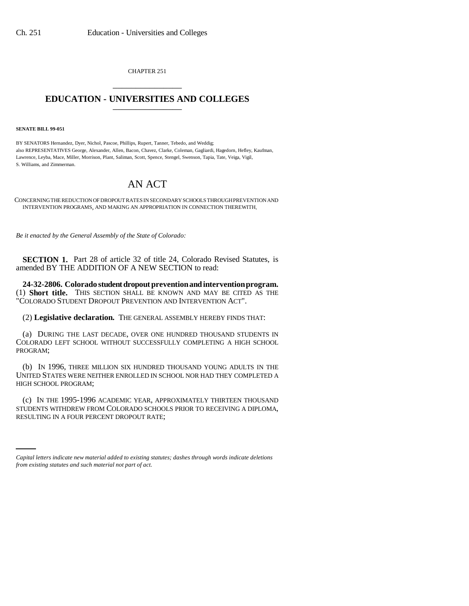CHAPTER 251 \_\_\_\_\_\_\_\_\_\_\_\_\_\_\_

## **EDUCATION - UNIVERSITIES AND COLLEGES** \_\_\_\_\_\_\_\_\_\_\_\_\_\_\_

**SENATE BILL 99-051** 

BY SENATORS Hernandez, Dyer, Nichol, Pascoe, Phillips, Rupert, Tanner, Tebedo, and Weddig; also REPRESENTATIVES George, Alexander, Allen, Bacon, Chavez, Clarke, Coleman, Gagliardi, Hagedorn, Hefley, Kaufman, Lawrence, Leyba, Mace, Miller, Morrison, Plant, Saliman, Scott, Spence, Stengel, Swenson, Tapia, Tate, Veiga, Vigil, S. Williams, and Zimmerman.

## AN ACT

CONCERNING THE REDUCTION OF DROPOUT RATES IN SECONDARY SCHOOLS THROUGH PREVENTION AND INTERVENTION PROGRAMS, AND MAKING AN APPROPRIATION IN CONNECTION THEREWITH.

*Be it enacted by the General Assembly of the State of Colorado:*

**SECTION 1.** Part 28 of article 32 of title 24, Colorado Revised Statutes, is amended BY THE ADDITION OF A NEW SECTION to read:

**24-32-2806. Colorado student dropout prevention and intervention program.** (1) **Short title.** THIS SECTION SHALL BE KNOWN AND MAY BE CITED AS THE "COLORADO STUDENT DROPOUT PREVENTION AND INTERVENTION ACT".

(2) **Legislative declaration.** THE GENERAL ASSEMBLY HEREBY FINDS THAT:

(a) DURING THE LAST DECADE, OVER ONE HUNDRED THOUSAND STUDENTS IN COLORADO LEFT SCHOOL WITHOUT SUCCESSFULLY COMPLETING A HIGH SCHOOL PROGRAM;

(b) IN 1996, THREE MILLION SIX HUNDRED THOUSAND YOUNG ADULTS IN THE UNITED STATES WERE NEITHER ENROLLED IN SCHOOL NOR HAD THEY COMPLETED A HIGH SCHOOL PROGRAM;

STUDENTS WITHDREW FROM COLORADO SCHOOLS PRIOR TO RECEIVING A DIPLOMA, (c) IN THE 1995-1996 ACADEMIC YEAR, APPROXIMATELY THIRTEEN THOUSAND RESULTING IN A FOUR PERCENT DROPOUT RATE;

*Capital letters indicate new material added to existing statutes; dashes through words indicate deletions from existing statutes and such material not part of act.*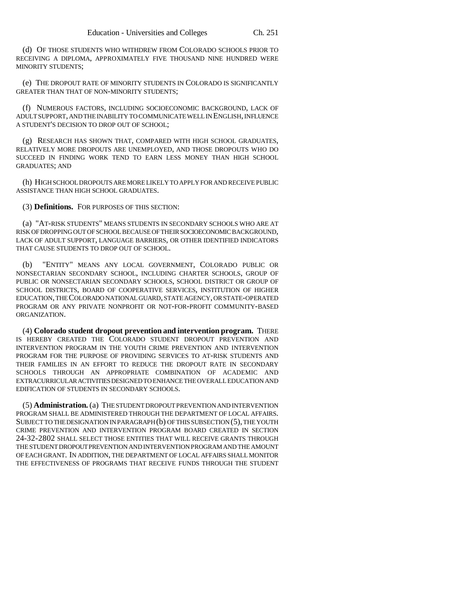(d) OF THOSE STUDENTS WHO WITHDREW FROM COLORADO SCHOOLS PRIOR TO RECEIVING A DIPLOMA, APPROXIMATELY FIVE THOUSAND NINE HUNDRED WERE MINORITY STUDENTS;

(e) THE DROPOUT RATE OF MINORITY STUDENTS IN COLORADO IS SIGNIFICANTLY GREATER THAN THAT OF NON-MINORITY STUDENTS;

(f) NUMEROUS FACTORS, INCLUDING SOCIOECONOMIC BACKGROUND, LACK OF ADULT SUPPORT, AND THE INABILITY TO COMMUNICATE WELL IN ENGLISH, INFLUENCE A STUDENT'S DECISION TO DROP OUT OF SCHOOL;

(g) RESEARCH HAS SHOWN THAT, COMPARED WITH HIGH SCHOOL GRADUATES, RELATIVELY MORE DROPOUTS ARE UNEMPLOYED, AND THOSE DROPOUTS WHO DO SUCCEED IN FINDING WORK TEND TO EARN LESS MONEY THAN HIGH SCHOOL GRADUATES; AND

(h) HIGH SCHOOL DROPOUTS ARE MORE LIKELY TO APPLY FOR AND RECEIVE PUBLIC ASSISTANCE THAN HIGH SCHOOL GRADUATES.

(3) **Definitions.** FOR PURPOSES OF THIS SECTION:

(a) "AT-RISK STUDENTS" MEANS STUDENTS IN SECONDARY SCHOOLS WHO ARE AT RISK OF DROPPING OUT OF SCHOOL BECAUSE OF THEIR SOCIOECONOMIC BACKGROUND, LACK OF ADULT SUPPORT, LANGUAGE BARRIERS, OR OTHER IDENTIFIED INDICATORS THAT CAUSE STUDENTS TO DROP OUT OF SCHOOL.

(b) "ENTITY" MEANS ANY LOCAL GOVERNMENT, COLORADO PUBLIC OR NONSECTARIAN SECONDARY SCHOOL, INCLUDING CHARTER SCHOOLS, GROUP OF PUBLIC OR NONSECTARIAN SECONDARY SCHOOLS, SCHOOL DISTRICT OR GROUP OF SCHOOL DISTRICTS, BOARD OF COOPERATIVE SERVICES, INSTITUTION OF HIGHER EDUCATION, THE COLORADO NATIONAL GUARD, STATE AGENCY, OR STATE-OPERATED PROGRAM OR ANY PRIVATE NONPROFIT OR NOT-FOR-PROFIT COMMUNITY-BASED ORGANIZATION.

(4) **Colorado student dropout prevention and intervention program.** THERE IS HEREBY CREATED THE COLORADO STUDENT DROPOUT PREVENTION AND INTERVENTION PROGRAM IN THE YOUTH CRIME PREVENTION AND INTERVENTION PROGRAM FOR THE PURPOSE OF PROVIDING SERVICES TO AT-RISK STUDENTS AND THEIR FAMILIES IN AN EFFORT TO REDUCE THE DROPOUT RATE IN SECONDARY SCHOOLS THROUGH AN APPROPRIATE COMBINATION OF ACADEMIC AND EXTRACURRICULAR ACTIVITIES DESIGNED TO ENHANCE THE OVERALL EDUCATION AND EDIFICATION OF STUDENTS IN SECONDARY SCHOOLS.

(5) **Administration.** (a) THE STUDENT DROPOUT PREVENTION AND INTERVENTION PROGRAM SHALL BE ADMINISTERED THROUGH THE DEPARTMENT OF LOCAL AFFAIRS. SUBJECT TO THE DESIGNATION IN PARAGRAPH (b) OF THIS SUBSECTION (5), THE YOUTH CRIME PREVENTION AND INTERVENTION PROGRAM BOARD CREATED IN SECTION 24-32-2802 SHALL SELECT THOSE ENTITIES THAT WILL RECEIVE GRANTS THROUGH THE STUDENT DROPOUT PREVENTION AND INTERVENTION PROGRAM AND THE AMOUNT OF EACH GRANT. IN ADDITION, THE DEPARTMENT OF LOCAL AFFAIRS SHALL MONITOR THE EFFECTIVENESS OF PROGRAMS THAT RECEIVE FUNDS THROUGH THE STUDENT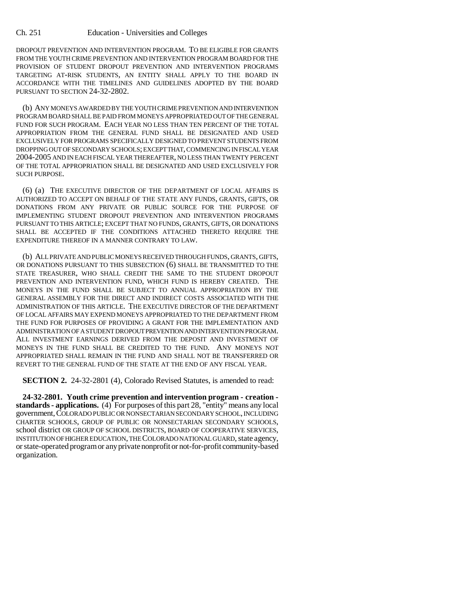DROPOUT PREVENTION AND INTERVENTION PROGRAM. TO BE ELIGIBLE FOR GRANTS FROM THE YOUTH CRIME PREVENTION AND INTERVENTION PROGRAM BOARD FOR THE PROVISION OF STUDENT DROPOUT PREVENTION AND INTERVENTION PROGRAMS TARGETING AT-RISK STUDENTS, AN ENTITY SHALL APPLY TO THE BOARD IN ACCORDANCE WITH THE TIMELINES AND GUIDELINES ADOPTED BY THE BOARD PURSUANT TO SECTION 24-32-2802.

(b) ANY MONEYS AWARDED BY THE YOUTH CRIME PREVENTION AND INTERVENTION PROGRAM BOARD SHALL BE PAID FROM MONEYS APPROPRIATED OUT OF THE GENERAL FUND FOR SUCH PROGRAM. EACH YEAR NO LESS THAN TEN PERCENT OF THE TOTAL APPROPRIATION FROM THE GENERAL FUND SHALL BE DESIGNATED AND USED EXCLUSIVELY FOR PROGRAMS SPECIFICALLY DESIGNED TO PREVENT STUDENTS FROM DROPPING OUT OF SECONDARY SCHOOLS; EXCEPT THAT, COMMENCING IN FISCAL YEAR 2004-2005 AND IN EACH FISCAL YEAR THEREAFTER, NO LESS THAN TWENTY PERCENT OF THE TOTAL APPROPRIATION SHALL BE DESIGNATED AND USED EXCLUSIVELY FOR SUCH PURPOSE.

(6) (a) THE EXECUTIVE DIRECTOR OF THE DEPARTMENT OF LOCAL AFFAIRS IS AUTHORIZED TO ACCEPT ON BEHALF OF THE STATE ANY FUNDS, GRANTS, GIFTS, OR DONATIONS FROM ANY PRIVATE OR PUBLIC SOURCE FOR THE PURPOSE OF IMPLEMENTING STUDENT DROPOUT PREVENTION AND INTERVENTION PROGRAMS PURSUANT TO THIS ARTICLE; EXCEPT THAT NO FUNDS, GRANTS, GIFTS, OR DONATIONS SHALL BE ACCEPTED IF THE CONDITIONS ATTACHED THERETO REQUIRE THE EXPENDITURE THEREOF IN A MANNER CONTRARY TO LAW.

(b) ALL PRIVATE AND PUBLIC MONEYS RECEIVED THROUGH FUNDS, GRANTS, GIFTS, OR DONATIONS PURSUANT TO THIS SUBSECTION (6) SHALL BE TRANSMITTED TO THE STATE TREASURER, WHO SHALL CREDIT THE SAME TO THE STUDENT DROPOUT PREVENTION AND INTERVENTION FUND, WHICH FUND IS HEREBY CREATED. THE MONEYS IN THE FUND SHALL BE SUBJECT TO ANNUAL APPROPRIATION BY THE GENERAL ASSEMBLY FOR THE DIRECT AND INDIRECT COSTS ASSOCIATED WITH THE ADMINISTRATION OF THIS ARTICLE. THE EXECUTIVE DIRECTOR OF THE DEPARTMENT OF LOCAL AFFAIRS MAY EXPEND MONEYS APPROPRIATED TO THE DEPARTMENT FROM THE FUND FOR PURPOSES OF PROVIDING A GRANT FOR THE IMPLEMENTATION AND ADMINISTRATION OF A STUDENT DROPOUT PREVENTION AND INTERVENTION PROGRAM. ALL INVESTMENT EARNINGS DERIVED FROM THE DEPOSIT AND INVESTMENT OF MONEYS IN THE FUND SHALL BE CREDITED TO THE FUND. ANY MONEYS NOT APPROPRIATED SHALL REMAIN IN THE FUND AND SHALL NOT BE TRANSFERRED OR REVERT TO THE GENERAL FUND OF THE STATE AT THE END OF ANY FISCAL YEAR.

**SECTION 2.** 24-32-2801 (4), Colorado Revised Statutes, is amended to read:

**24-32-2801. Youth crime prevention and intervention program - creation standards - applications.** (4) For purposes of this part 28, "entity" means any local government, COLORADO PUBLIC OR NONSECTARIAN SECONDARY SCHOOL, INCLUDING CHARTER SCHOOLS, GROUP OF PUBLIC OR NONSECTARIAN SECONDARY SCHOOLS, school district OR GROUP OF SCHOOL DISTRICTS, BOARD OF COOPERATIVE SERVICES, INSTITUTION OF HIGHER EDUCATION, THE COLORADO NATIONAL GUARD, state agency, or state-operated program or any private nonprofit or not-for-profit community-based organization.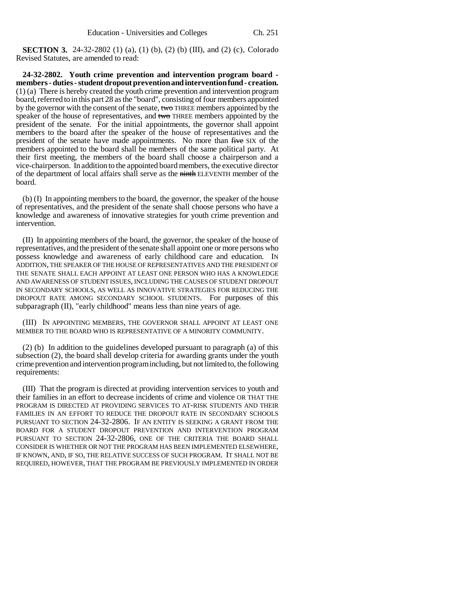**SECTION 3.** 24-32-2802 (1) (a), (1) (b), (2) (b) (III), and (2) (c), Colorado Revised Statutes, are amended to read:

**24-32-2802. Youth crime prevention and intervention program board members - duties - student dropout prevention and intervention fund - creation.** (1) (a) There is hereby created the youth crime prevention and intervention program board, referred to in this part 28 as the "board", consisting of four members appointed by the governor with the consent of the senate, two THREE members appointed by the speaker of the house of representatives, and two THREE members appointed by the president of the senate. For the initial appointments, the governor shall appoint members to the board after the speaker of the house of representatives and the president of the senate have made appointments. No more than five SIX of the members appointed to the board shall be members of the same political party. At their first meeting, the members of the board shall choose a chairperson and a vice-chairperson. In addition to the appointed board members, the executive director of the department of local affairs shall serve as the ninth ELEVENTH member of the board.

(b) (I) In appointing members to the board, the governor, the speaker of the house of representatives, and the president of the senate shall choose persons who have a knowledge and awareness of innovative strategies for youth crime prevention and intervention.

(II) In appointing members of the board, the governor, the speaker of the house of representatives, and the president of the senate shall appoint one or more persons who possess knowledge and awareness of early childhood care and education. IN ADDITION, THE SPEAKER OF THE HOUSE OF REPRESENTATIVES AND THE PRESIDENT OF THE SENATE SHALL EACH APPOINT AT LEAST ONE PERSON WHO HAS A KNOWLEDGE AND AWARENESS OF STUDENT ISSUES, INCLUDING THE CAUSES OF STUDENT DROPOUT IN SECONDARY SCHOOLS, AS WELL AS INNOVATIVE STRATEGIES FOR REDUCING THE DROPOUT RATE AMONG SECONDARY SCHOOL STUDENTS. For purposes of this subparagraph (II), "early childhood" means less than nine years of age.

(III) IN APPOINTING MEMBERS, THE GOVERNOR SHALL APPOINT AT LEAST ONE MEMBER TO THE BOARD WHO IS REPRESENTATIVE OF A MINORITY COMMUNITY.

(2) (b) In addition to the guidelines developed pursuant to paragraph (a) of this subsection (2), the board shall develop criteria for awarding grants under the youth crime prevention and intervention program including, but not limited to, the following requirements:

(III) That the program is directed at providing intervention services to youth and their families in an effort to decrease incidents of crime and violence OR THAT THE PROGRAM IS DIRECTED AT PROVIDING SERVICES TO AT-RISK STUDENTS AND THEIR FAMILIES IN AN EFFORT TO REDUCE THE DROPOUT RATE IN SECONDARY SCHOOLS PURSUANT TO SECTION 24-32-2806. IF AN ENTITY IS SEEKING A GRANT FROM THE BOARD FOR A STUDENT DROPOUT PREVENTION AND INTERVENTION PROGRAM PURSUANT TO SECTION 24-32-2806, ONE OF THE CRITERIA THE BOARD SHALL CONSIDER IS WHETHER OR NOT THE PROGRAM HAS BEEN IMPLEMENTED ELSEWHERE, IF KNOWN, AND, IF SO, THE RELATIVE SUCCESS OF SUCH PROGRAM. IT SHALL NOT BE REQUIRED, HOWEVER, THAT THE PROGRAM BE PREVIOUSLY IMPLEMENTED IN ORDER